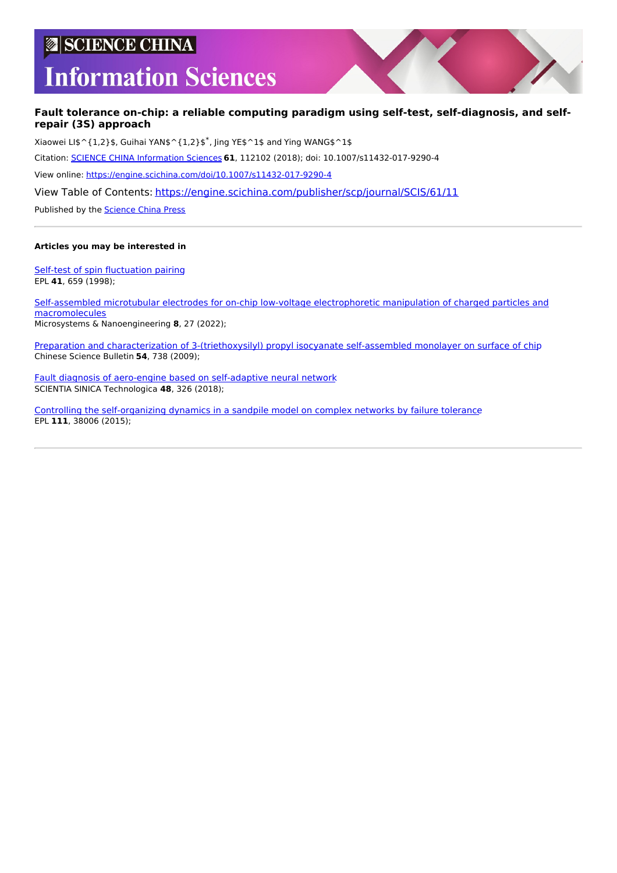# **SCIENCE CHINA**

# **Information Sciences**

# **Fault tolerance on-chip: a reliable computing paradigm using self-test, self-diagnosis, and selfrepair (3S) approach**

Xiaowei LI\$^{1,2}\$, Guihai YAN\$^{1,2}\$\*, Jing YE\$^1\$ and Ying WANG\$^1\$ Citation: SCIENCE CHINA [Information](https://engine.scichina.com/publisher/scp/journal/SCIS) Sciences **61**, 112102 (2018); doi: 10.1007/s11432-017-9290-4 View online: <https://engine.scichina.com/doi/10.1007/s11432-017-9290-4> View Table of Contents: <https://engine.scichina.com/publisher/scp/journal/SCIS/61/11> Published by the [Science](https://engine.scichina.com/publisher/scp) China Press

## **Articles you may be interested in**

Self-test of spin [fluctuation](https://engine.scichina.com/doi/10.1209/epl/i1998-00209-3) pairing EPL **41**, 659 (1998);

Self-assembled microtubular electrodes for on-chip low-voltage electrophoretic manipulation of charged particles and [macromolecules](https://engine.scichina.com/doi/10.1038/s41378-022-00354-6) Microsystems & Nanoengineering **8**, 27 (2022);

Preparation and characterization of [3-\(triethoxysilyl\)](https://engine.scichina.com/doi/10.1007/s11434-009-0059-9) propyl isocyanate self-assembled monolayer on surface of chip Chinese Science Bulletin **54**, 738 (2009);

Fault diagnosis of aero-engine based on [self-adaptive](https://engine.scichina.com/doi/10.1360/N092017-00224) neural network SCIENTIA SINICA Technologica **48**, 326 (2018);

Controlling the [self-organizing](https://engine.scichina.com/doi/10.1209/0295-5075/111/38006) dynamics in a sandpile model on complex networks by failure tolerance EPL **111**, 38006 (2015);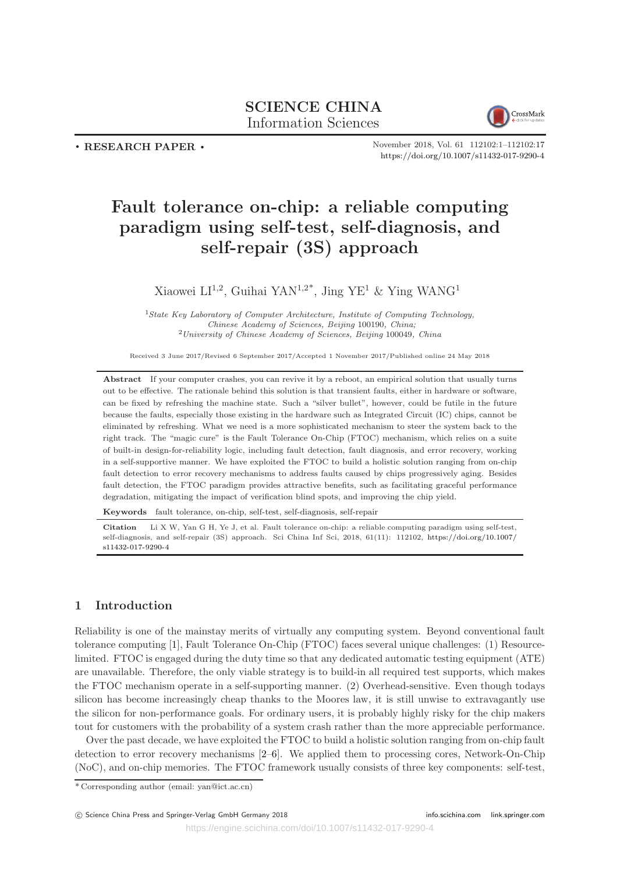# SCIENCE CHINA Information Sciences



. RESEARCH PAPER .

November 2018, Vol. 61 112102:1–112102:17 <https://doi.org/10.1007/s11432-017-9290-4>

# Fault tolerance on-chip: a reliable computing paradigm using self-test, self-diagnosis, and self-repair (3S) approach

Xiaowei LI<sup>1,2</sup>, Guihai YAN<sup>1,2\*</sup>, Jing YE<sup>1</sup> & Ying WANG<sup>1</sup>

<sup>1</sup>State Key Laboratory of Computer Architecture, Institute of Computing Technology, Chinese Academy of Sciences, Beijing 100190, China; <sup>2</sup>University of Chinese Academy of Sciences, Beijing 100049, China

Received 3 June 2017/Revised 6 September 2017/Accepted 1 November 2017/Published online 24 May 2018

Abstract If your computer crashes, you can revive it by a reboot, an empirical solution that usually turns out to be effective. The rationale behind this solution is that transient faults, either in hardware or software, can be fixed by refreshing the machine state. Such a "silver bullet", however, could be futile in the future because the faults, especially those existing in the hardware such as Integrated Circuit (IC) chips, cannot be eliminated by refreshing. What we need is a more sophisticated mechanism to steer the system back to the right track. The "magic cure" is the Fault Tolerance On-Chip (FTOC) mechanism, which relies on a suite of built-in design-for-reliability logic, including fault detection, fault diagnosis, and error recovery, working in a self-supportive manner. We have exploited the FTOC to build a holistic solution ranging from on-chip fault detection to error recovery mechanisms to address faults caused by chips progressively aging. Besides fault detection, the FTOC paradigm provides attractive benefits, such as facilitating graceful performance degradation, mitigating the impact of verification blind spots, and improving the chip yield.

Keywords fault tolerance, on-chip, self-test, self-diagnosis, self-repair

Citation Li X W, Yan G H, Ye J, et al. Fault tolerance on-chip: a reliable computing paradigm using self-test, self-diagnosis, and self-repair (3S) approach. Sci China Inf Sci, 2018, 61(11): 112102, [https://doi.org/10.1007/](https://doi.org/10.1007/s11432-017-9290-4) [s11432-017-9290-4](https://doi.org/10.1007/s11432-017-9290-4)

# 1 Introduction

Reliability is one of the mainstay merits of virtually any computing system. Beyond conventional fault tolerance computing [1], Fault Tolerance On-Chip (FTOC) faces several unique challenges: (1) Resourcelimited. FTOC is engaged during the duty time so that any dedicated automatic testing equipment (ATE) are unavailable. Therefore, the only viable strategy is to build-in all required test supports, which makes the FTOC mechanism operate in a self-supporting manner. (2) Overhead-sensitive. Even though todays silicon has become increasingly cheap thanks to the Moores law, it is still unwise to extravagantly use the silicon for non-performance goals. For ordinary users, it is probably highly risky for the chip makers tout for customers with the probability of a system crash rather than the more appreciable performance.

Over the past decade, we have exploited the FTOC to build a holistic solution ranging from on-chip fault detection to error recovery mechanisms [2–6]. We applied them to processing cores, Network-On-Chip (NoC), and on-chip memories. The FTOC framework usually consists of three key components: self-test,

c Science China Press and Springer-Verlag GmbH Germany 2018 <info.scichina.com><link.springer.com>

<sup>\*</sup> Corresponding author (email: yan@ict.ac.cn)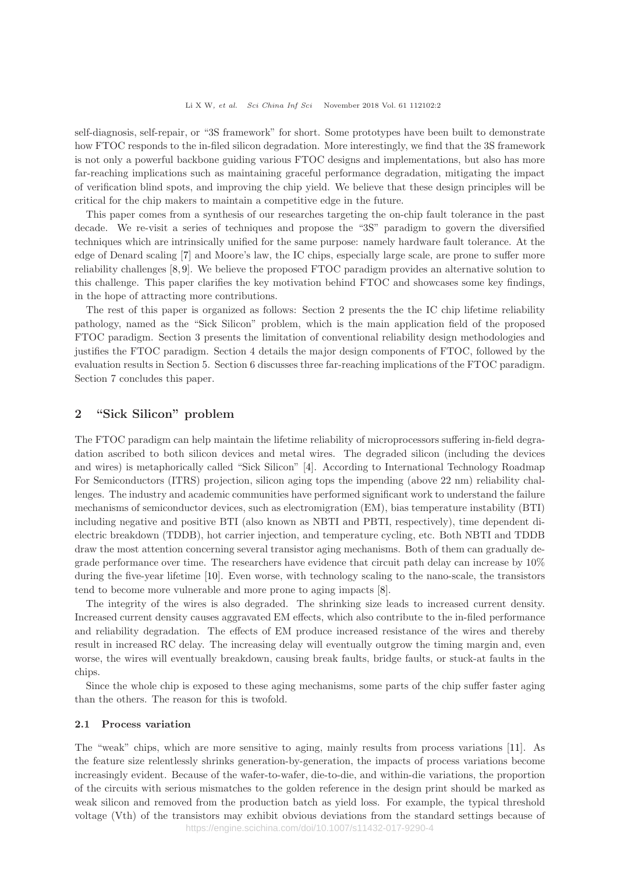self-diagnosis, self-repair, or "3S framework" for short. Some prototypes have been built to demonstrate how FTOC responds to the in-filed silicon degradation. More interestingly, we find that the 3S framework is not only a powerful backbone guiding various FTOC designs and implementations, but also has more far-reaching implications such as maintaining graceful performance degradation, mitigating the impact of verification blind spots, and improving the chip yield. We believe that these design principles will be critical for the chip makers to maintain a competitive edge in the future.

This paper comes from a synthesis of our researches targeting the on-chip fault tolerance in the past decade. We re-visit a series of techniques and propose the "3S" paradigm to govern the diversified techniques which are intrinsically unified for the same purpose: namely hardware fault tolerance. At the edge of Denard scaling [7] and Moore's law, the IC chips, especially large scale, are prone to suffer more reliability challenges [8, 9]. We believe the proposed FTOC paradigm provides an alternative solution to this challenge. This paper clarifies the key motivation behind FTOC and showcases some key findings, in the hope of attracting more contributions.

The rest of this paper is organized as follows: Section 2 presents the the IC chip lifetime reliability pathology, named as the "Sick Silicon" problem, which is the main application field of the proposed FTOC paradigm. Section 3 presents the limitation of conventional reliability design methodologies and justifies the FTOC paradigm. Section 4 details the major design components of FTOC, followed by the evaluation results in Section 5. Section 6 discusses three far-reaching implications of the FTOC paradigm. Section 7 concludes this paper.

# 2 "Sick Silicon" problem

The FTOC paradigm can help maintain the lifetime reliability of microprocessors suffering in-field degradation ascribed to both silicon devices and metal wires. The degraded silicon (including the devices and wires) is metaphorically called "Sick Silicon" [4]. According to International Technology Roadmap For Semiconductors (ITRS) projection, silicon aging tops the impending (above 22 nm) reliability challenges. The industry and academic communities have performed significant work to understand the failure mechanisms of semiconductor devices, such as electromigration (EM), bias temperature instability (BTI) including negative and positive BTI (also known as NBTI and PBTI, respectively), time dependent dielectric breakdown (TDDB), hot carrier injection, and temperature cycling, etc. Both NBTI and TDDB draw the most attention concerning several transistor aging mechanisms. Both of them can gradually degrade performance over time. The researchers have evidence that circuit path delay can increase by 10% during the five-year lifetime [10]. Even worse, with technology scaling to the nano-scale, the transistors tend to become more vulnerable and more prone to aging impacts [8].

The integrity of the wires is also degraded. The shrinking size leads to increased current density. Increased current density causes aggravated EM effects, which also contribute to the in-filed performance and reliability degradation. The effects of EM produce increased resistance of the wires and thereby result in increased RC delay. The increasing delay will eventually outgrow the timing margin and, even worse, the wires will eventually breakdown, causing break faults, bridge faults, or stuck-at faults in the chips.

Since the whole chip is exposed to these aging mechanisms, some parts of the chip suffer faster aging than the others. The reason for this is twofold.

#### 2.1 Process variation

The "weak" chips, which are more sensitive to aging, mainly results from process variations [11]. As the feature size relentlessly shrinks generation-by-generation, the impacts of process variations become increasingly evident. Because of the wafer-to-wafer, die-to-die, and within-die variations, the proportion of the circuits with serious mismatches to the golden reference in the design print should be marked as weak silicon and removed from the production batch as yield loss. For example, the typical threshold voltage (Vth) of the transistors may exhibit obvious deviations from the standard settings because of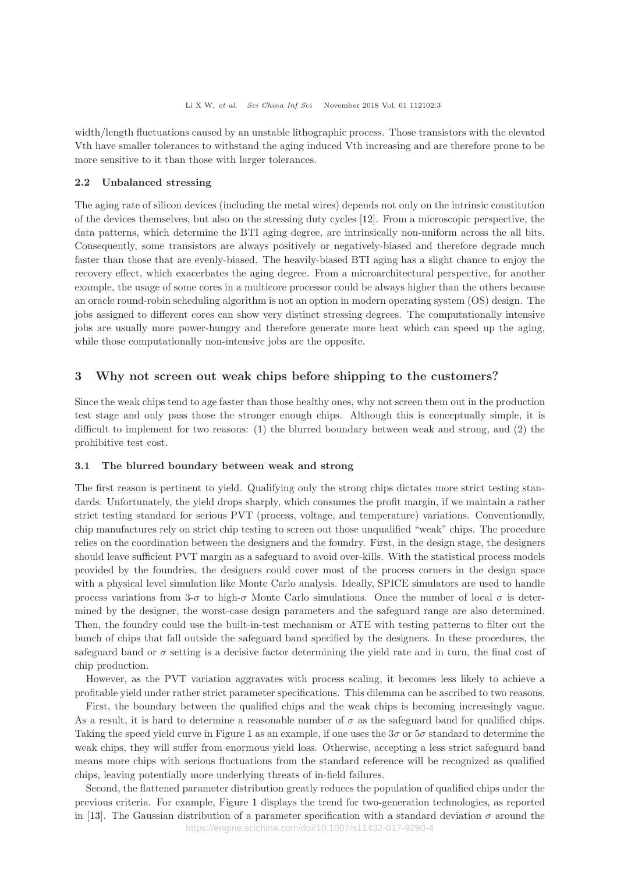width/length fluctuations caused by an unstable lithographic process. Those transistors with the elevated Vth have smaller tolerances to withstand the aging induced Vth increasing and are therefore prone to be more sensitive to it than those with larger tolerances.

#### 2.2 Unbalanced stressing

The aging rate of silicon devices (including the metal wires) depends not only on the intrinsic constitution of the devices themselves, but also on the stressing duty cycles [12]. From a microscopic perspective, the data patterns, which determine the BTI aging degree, are intrinsically non-uniform across the all bits. Consequently, some transistors are always positively or negatively-biased and therefore degrade much faster than those that are evenly-biased. The heavily-biased BTI aging has a slight chance to enjoy the recovery effect, which exacerbates the aging degree. From a microarchitectural perspective, for another example, the usage of some cores in a multicore processor could be always higher than the others because an oracle round-robin scheduling algorithm is not an option in modern operating system (OS) design. The jobs assigned to different cores can show very distinct stressing degrees. The computationally intensive jobs are usually more power-hungry and therefore generate more heat which can speed up the aging, while those computationally non-intensive jobs are the opposite.

## 3 Why not screen out weak chips before shipping to the customers?

Since the weak chips tend to age faster than those healthy ones, why not screen them out in the production test stage and only pass those the stronger enough chips. Although this is conceptually simple, it is difficult to implement for two reasons: (1) the blurred boundary between weak and strong, and (2) the prohibitive test cost.

#### 3.1 The blurred boundary between weak and strong

The first reason is pertinent to yield. Qualifying only the strong chips dictates more strict testing standards. Unfortunately, the yield drops sharply, which consumes the profit margin, if we maintain a rather strict testing standard for serious PVT (process, voltage, and temperature) variations. Conventionally, chip manufactures rely on strict chip testing to screen out those unqualified "weak" chips. The procedure relies on the coordination between the designers and the foundry. First, in the design stage, the designers should leave sufficient PVT margin as a safeguard to avoid over-kills. With the statistical process models provided by the foundries, the designers could cover most of the process corners in the design space with a physical level simulation like Monte Carlo analysis. Ideally, SPICE simulators are used to handle process variations from  $3-\sigma$  to high- $\sigma$  Monte Carlo simulations. Once the number of local  $\sigma$  is determined by the designer, the worst-case design parameters and the safeguard range are also determined. Then, the foundry could use the built-in-test mechanism or ATE with testing patterns to filter out the bunch of chips that fall outside the safeguard band specified by the designers. In these procedures, the safeguard band or  $\sigma$  setting is a decisive factor determining the yield rate and in turn, the final cost of chip production.

However, as the PVT variation aggravates with process scaling, it becomes less likely to achieve a profitable yield under rather strict parameter specifications. This dilemma can be ascribed to two reasons.

First, the boundary between the qualified chips and the weak chips is becoming increasingly vague. As a result, it is hard to determine a reasonable number of  $\sigma$  as the safeguard band for qualified chips. Taking the speed yield curve in Figure 1 as an example, if one uses the  $3\sigma$  or  $5\sigma$  standard to determine the weak chips, they will suffer from enormous yield loss. Otherwise, accepting a less strict safeguard band means more chips with serious fluctuations from the standard reference will be recognized as qualified chips, leaving potentially more underlying threats of in-field failures.

Second, the flattened parameter distribution greatly reduces the population of qualified chips under the previous criteria. For example, Figure 1 displays the trend for two-generation technologies, as reported in [13]. The Gaussian distribution of a parameter specification with a standard deviation  $\sigma$  around the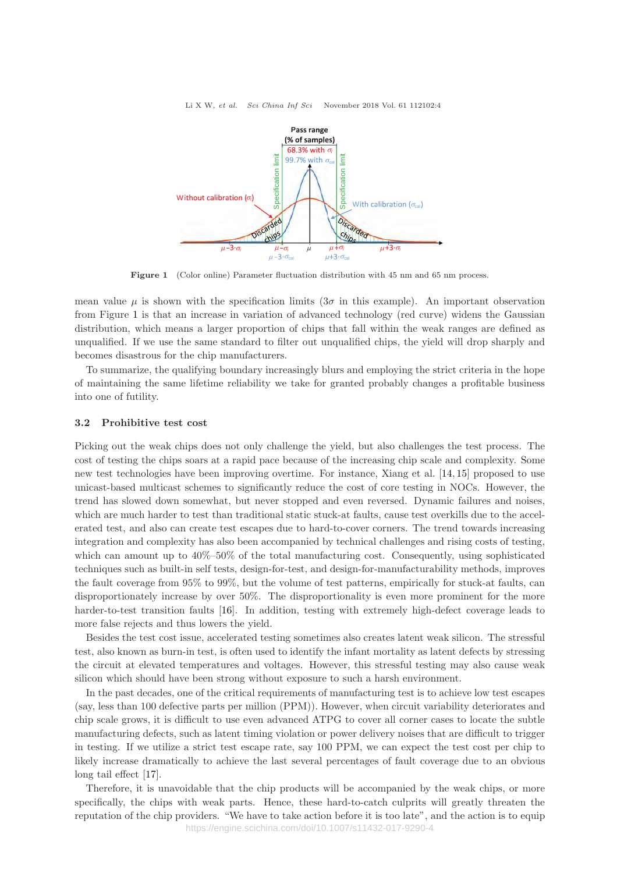

Figure 1 (Color online) Parameter fluctuation distribution with 45 nm and 65 nm process.

mean value  $\mu$  is shown with the specification limits  $(3\sigma)$  in this example). An important observation from Figure 1 is that an increase in variation of advanced technology (red curve) widens the Gaussian distribution, which means a larger proportion of chips that fall within the weak ranges are defined as unqualified. If we use the same standard to filter out unqualified chips, the yield will drop sharply and becomes disastrous for the chip manufacturers.

To summarize, the qualifying boundary increasingly blurs and employing the strict criteria in the hope of maintaining the same lifetime reliability we take for granted probably changes a profitable business into one of futility.

#### 3.2 Prohibitive test cost

Picking out the weak chips does not only challenge the yield, but also challenges the test process. The cost of testing the chips soars at a rapid pace because of the increasing chip scale and complexity. Some new test technologies have been improving overtime. For instance, Xiang et al. [14, 15] proposed to use unicast-based multicast schemes to significantly reduce the cost of core testing in NOCs. However, the trend has slowed down somewhat, but never stopped and even reversed. Dynamic failures and noises, which are much harder to test than traditional static stuck-at faults, cause test overkills due to the accelerated test, and also can create test escapes due to hard-to-cover corners. The trend towards increasing integration and complexity has also been accompanied by technical challenges and rising costs of testing, which can amount up to  $40\%$ –50% of the total manufacturing cost. Consequently, using sophisticated techniques such as built-in self tests, design-for-test, and design-for-manufacturability methods, improves the fault coverage from 95% to 99%, but the volume of test patterns, empirically for stuck-at faults, can disproportionately increase by over 50%. The disproportionality is even more prominent for the more harder-to-test transition faults [16]. In addition, testing with extremely high-defect coverage leads to more false rejects and thus lowers the yield.

Besides the test cost issue, accelerated testing sometimes also creates latent weak silicon. The stressful test, also known as burn-in test, is often used to identify the infant mortality as latent defects by stressing the circuit at elevated temperatures and voltages. However, this stressful testing may also cause weak silicon which should have been strong without exposure to such a harsh environment.

In the past decades, one of the critical requirements of manufacturing test is to achieve low test escapes (say, less than 100 defective parts per million (PPM)). However, when circuit variability deteriorates and chip scale grows, it is difficult to use even advanced ATPG to cover all corner cases to locate the subtle manufacturing defects, such as latent timing violation or power delivery noises that are difficult to trigger in testing. If we utilize a strict test escape rate, say 100 PPM, we can expect the test cost per chip to likely increase dramatically to achieve the last several percentages of fault coverage due to an obvious long tail effect [17].

Therefore, it is unavoidable that the chip products will be accompanied by the weak chips, or more specifically, the chips with weak parts. Hence, these hard-to-catch culprits will greatly threaten the reputation of the chip providers. "We have to take action before it is too late", and the action is to equip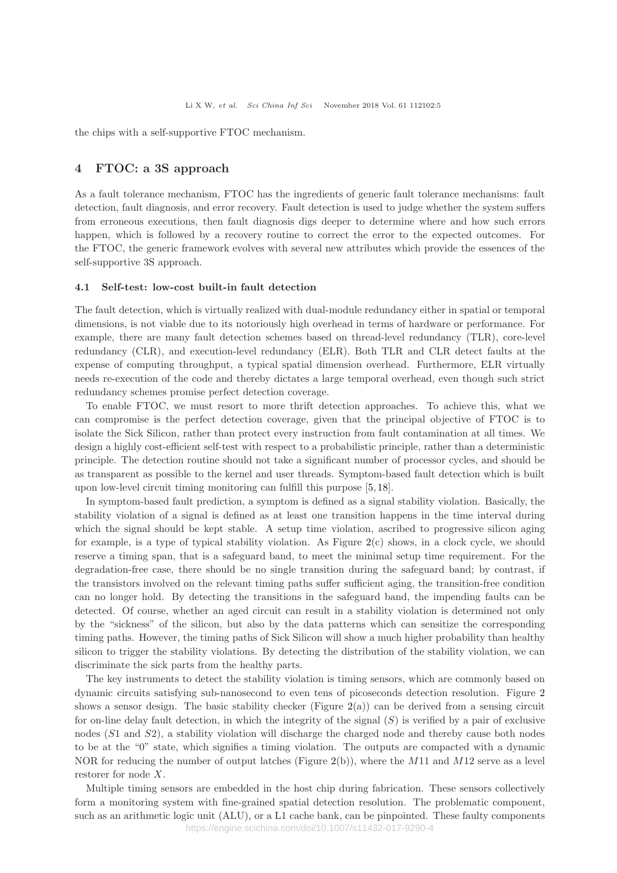the chips with a self-supportive FTOC mechanism.

### 4 FTOC: a 3S approach

As a fault tolerance mechanism, FTOC has the ingredients of generic fault tolerance mechanisms: fault detection, fault diagnosis, and error recovery. Fault detection is used to judge whether the system suffers from erroneous executions, then fault diagnosis digs deeper to determine where and how such errors happen, which is followed by a recovery routine to correct the error to the expected outcomes. For the FTOC, the generic framework evolves with several new attributes which provide the essences of the self-supportive 3S approach.

#### 4.1 Self-test: low-cost built-in fault detection

The fault detection, which is virtually realized with dual-module redundancy either in spatial or temporal dimensions, is not viable due to its notoriously high overhead in terms of hardware or performance. For example, there are many fault detection schemes based on thread-level redundancy (TLR), core-level redundancy (CLR), and execution-level redundancy (ELR). Both TLR and CLR detect faults at the expense of computing throughput, a typical spatial dimension overhead. Furthermore, ELR virtually needs re-execution of the code and thereby dictates a large temporal overhead, even though such strict redundancy schemes promise perfect detection coverage.

To enable FTOC, we must resort to more thrift detection approaches. To achieve this, what we can compromise is the perfect detection coverage, given that the principal objective of FTOC is to isolate the Sick Silicon, rather than protect every instruction from fault contamination at all times. We design a highly cost-efficient self-test with respect to a probabilistic principle, rather than a deterministic principle. The detection routine should not take a significant number of processor cycles, and should be as transparent as possible to the kernel and user threads. Symptom-based fault detection which is built upon low-level circuit timing monitoring can fulfill this purpose [5, 18].

In symptom-based fault prediction, a symptom is defined as a signal stability violation. Basically, the stability violation of a signal is defined as at least one transition happens in the time interval during which the signal should be kept stable. A setup time violation, ascribed to progressive silicon aging for example, is a type of typical stability violation. As Figure 2(c) shows, in a clock cycle, we should reserve a timing span, that is a safeguard band, to meet the minimal setup time requirement. For the degradation-free case, there should be no single transition during the safeguard band; by contrast, if the transistors involved on the relevant timing paths suffer sufficient aging, the transition-free condition can no longer hold. By detecting the transitions in the safeguard band, the impending faults can be detected. Of course, whether an aged circuit can result in a stability violation is determined not only by the "sickness" of the silicon, but also by the data patterns which can sensitize the corresponding timing paths. However, the timing paths of Sick Silicon will show a much higher probability than healthy silicon to trigger the stability violations. By detecting the distribution of the stability violation, we can discriminate the sick parts from the healthy parts.

The key instruments to detect the stability violation is timing sensors, which are commonly based on dynamic circuits satisfying sub-nanosecond to even tens of picoseconds detection resolution. Figure 2 shows a sensor design. The basic stability checker (Figure  $2(a)$ ) can be derived from a sensing circuit for on-line delay fault detection, in which the integrity of the signal  $(S)$  is verified by a pair of exclusive nodes (S1 and S2), a stability violation will discharge the charged node and thereby cause both nodes to be at the "0" state, which signifies a timing violation. The outputs are compacted with a dynamic NOR for reducing the number of output latches (Figure 2(b)), where the  $M11$  and  $M12$  serve as a level restorer for node X.

Multiple timing sensors are embedded in the host chip during fabrication. These sensors collectively form a monitoring system with fine-grained spatial detection resolution. The problematic component, such as an arithmetic logic unit (ALU), or a L1 cache bank, can be pinpointed. These faulty components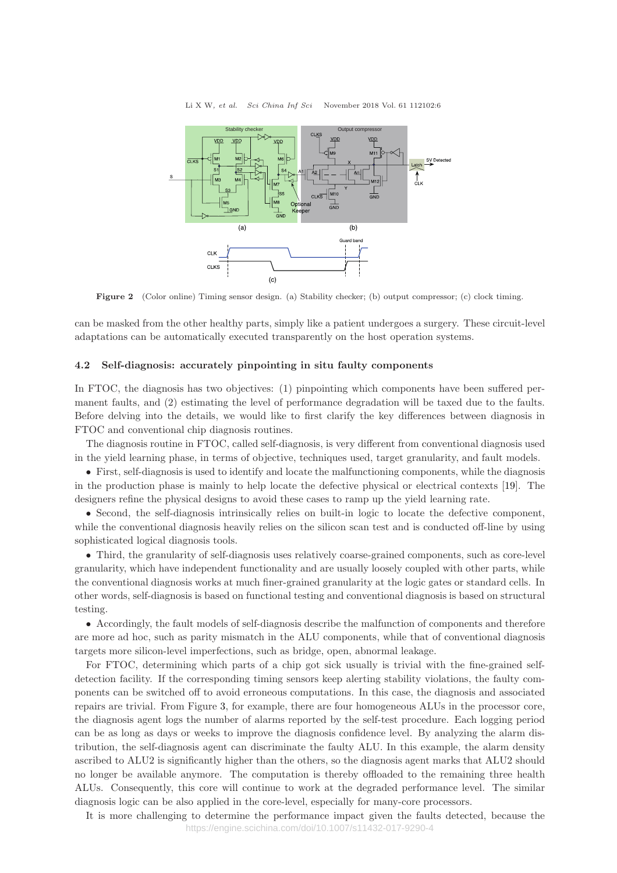

Figure 2 (Color online) Timing sensor design. (a) Stability checker; (b) output compressor; (c) clock timing.

can be masked from the other healthy parts, simply like a patient undergoes a surgery. These circuit-level adaptations can be automatically executed transparently on the host operation systems.

#### 4.2 Self-diagnosis: accurately pinpointing in situ faulty components

In FTOC, the diagnosis has two objectives: (1) pinpointing which components have been suffered permanent faults, and (2) estimating the level of performance degradation will be taxed due to the faults. Before delving into the details, we would like to first clarify the key differences between diagnosis in FTOC and conventional chip diagnosis routines.

The diagnosis routine in FTOC, called self-diagnosis, is very different from conventional diagnosis used in the yield learning phase, in terms of objective, techniques used, target granularity, and fault models.

• First, self-diagnosis is used to identify and locate the malfunctioning components, while the diagnosis in the production phase is mainly to help locate the defective physical or electrical contexts [19]. The designers refine the physical designs to avoid these cases to ramp up the yield learning rate.

• Second, the self-diagnosis intrinsically relies on built-in logic to locate the defective component, while the conventional diagnosis heavily relies on the silicon scan test and is conducted off-line by using sophisticated logical diagnosis tools.

• Third, the granularity of self-diagnosis uses relatively coarse-grained components, such as core-level granularity, which have independent functionality and are usually loosely coupled with other parts, while the conventional diagnosis works at much finer-grained granularity at the logic gates or standard cells. In other words, self-diagnosis is based on functional testing and conventional diagnosis is based on structural testing.

• Accordingly, the fault models of self-diagnosis describe the malfunction of components and therefore are more ad hoc, such as parity mismatch in the ALU components, while that of conventional diagnosis targets more silicon-level imperfections, such as bridge, open, abnormal leakage.

For FTOC, determining which parts of a chip got sick usually is trivial with the fine-grained selfdetection facility. If the corresponding timing sensors keep alerting stability violations, the faulty components can be switched off to avoid erroneous computations. In this case, the diagnosis and associated repairs are trivial. From Figure 3, for example, there are four homogeneous ALUs in the processor core, the diagnosis agent logs the number of alarms reported by the self-test procedure. Each logging period can be as long as days or weeks to improve the diagnosis confidence level. By analyzing the alarm distribution, the self-diagnosis agent can discriminate the faulty ALU. In this example, the alarm density ascribed to ALU2 is significantly higher than the others, so the diagnosis agent marks that ALU2 should no longer be available anymore. The computation is thereby offloaded to the remaining three health ALUs. Consequently, this core will continue to work at the degraded performance level. The similar diagnosis logic can be also applied in the core-level, especially for many-core processors.

It is more challenging to determine the performance impact given the faults detected, because the https://engine.scichina.com/doi/10.1007/s11432-017-9290-4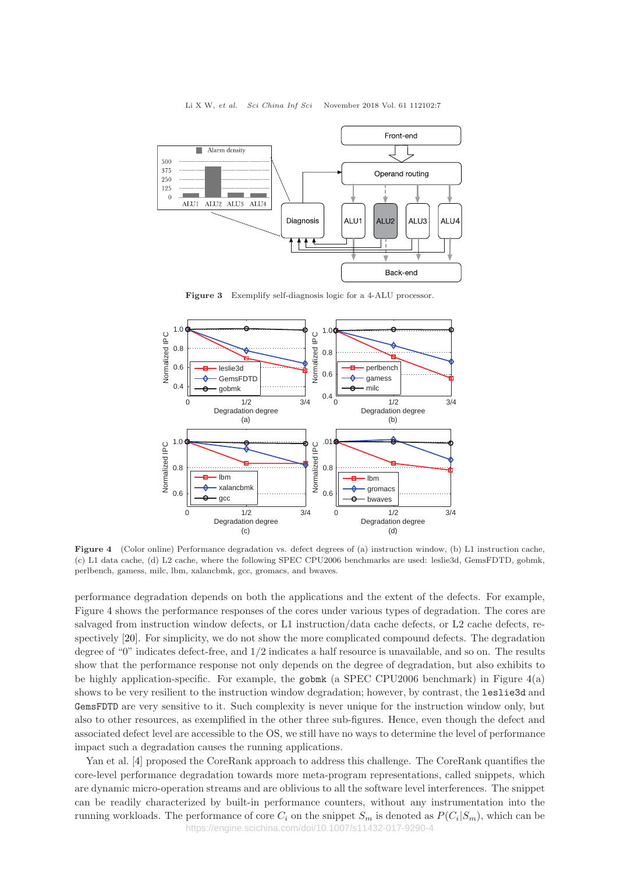Li X W, et al. Sci China Inf Sci November 2018 Vol. 61 112102:7



Figure 3 Exemplify self-diagnosis logic for a 4-ALU processor.



Figure 4 (Color online) Performance degradation vs. defect degrees of (a) instruction window, (b) L1 instruction cache, (c) L1 data cache, (d) L2 cache, where the following SPEC CPU2006 benchmarks are used: leslie3d, GemsFDTD, gobmk, perlbench, gamess, milc, lbm, xalancbmk, gcc, gromacs, and bwaves.

performance degradation depends on both the applications and the extent of the defects. For example, Figure 4 shows the performance responses of the cores under various types of degradation. The cores are salvaged from instruction window defects, or L1 instruction/data cache defects, or L2 cache defects, respectively [20]. For simplicity, we do not show the more complicated compound defects. The degradation degree of "0" indicates defect-free, and 1/2 indicates a half resource is unavailable, and so on. The results show that the performance response not only depends on the degree of degradation, but also exhibits to be highly application-specific. For example, the gobmk (a SPEC CPU2006 benchmark) in Figure 4(a) shows to be very resilient to the instruction window degradation; however, by contrast, the leslie3d and GemsFDTD are very sensitive to it. Such complexity is never unique for the instruction window only, but also to other resources, as exemplified in the other three sub-figures. Hence, even though the defect and associated defect level are accessible to the OS, we still have no ways to determine the level of performance impact such a degradation causes the running applications.

Yan et al. [4] proposed the CoreRank approach to address this challenge. The CoreRank quantifies the core-level performance degradation towards more meta-program representations, called snippets, which are dynamic micro-operation streams and are oblivious to all the software level interferences. The snippet can be readily characterized by built-in performance counters, without any instrumentation into the running workloads. The performance of core  $C_i$  on the snippet  $S_m$  is denoted as  $P(C_i|S_m)$ , which can be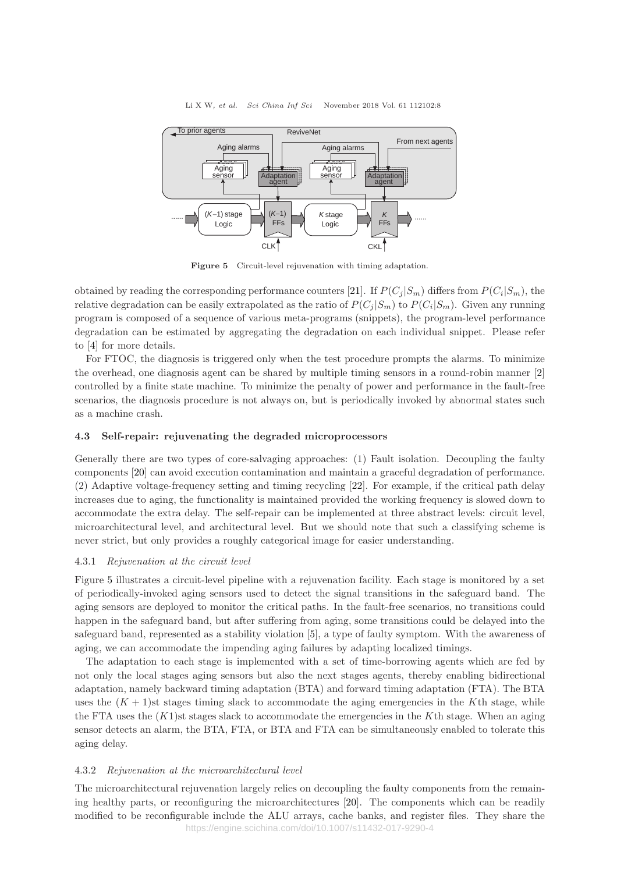#### Li X W, et al. Sci China Inf Sci November 2018 Vol. 61 112102:8



Figure 5 Circuit-level rejuvenation with timing adaptation.

obtained by reading the corresponding performance counters [21]. If  $P(C_j | S_m)$  differs from  $P(C_i | S_m)$ , the relative degradation can be easily extrapolated as the ratio of  $P(C_i|S_m)$  to  $P(C_i|S_m)$ . Given any running program is composed of a sequence of various meta-programs (snippets), the program-level performance degradation can be estimated by aggregating the degradation on each individual snippet. Please refer to [4] for more details.

For FTOC, the diagnosis is triggered only when the test procedure prompts the alarms. To minimize the overhead, one diagnosis agent can be shared by multiple timing sensors in a round-robin manner [2] controlled by a finite state machine. To minimize the penalty of power and performance in the fault-free scenarios, the diagnosis procedure is not always on, but is periodically invoked by abnormal states such as a machine crash.

## 4.3 Self-repair: rejuvenating the degraded microprocessors

Generally there are two types of core-salvaging approaches: (1) Fault isolation. Decoupling the faulty components [20] can avoid execution contamination and maintain a graceful degradation of performance. (2) Adaptive voltage-frequency setting and timing recycling [22]. For example, if the critical path delay increases due to aging, the functionality is maintained provided the working frequency is slowed down to accommodate the extra delay. The self-repair can be implemented at three abstract levels: circuit level, microarchitectural level, and architectural level. But we should note that such a classifying scheme is never strict, but only provides a roughly categorical image for easier understanding.

#### 4.3.1 Rejuvenation at the circuit level

Figure 5 illustrates a circuit-level pipeline with a rejuvenation facility. Each stage is monitored by a set of periodically-invoked aging sensors used to detect the signal transitions in the safeguard band. The aging sensors are deployed to monitor the critical paths. In the fault-free scenarios, no transitions could happen in the safeguard band, but after suffering from aging, some transitions could be delayed into the safeguard band, represented as a stability violation [5], a type of faulty symptom. With the awareness of aging, we can accommodate the impending aging failures by adapting localized timings.

The adaptation to each stage is implemented with a set of time-borrowing agents which are fed by not only the local stages aging sensors but also the next stages agents, thereby enabling bidirectional adaptation, namely backward timing adaptation (BTA) and forward timing adaptation (FTA). The BTA uses the  $(K + 1)$ st stages timing slack to accommodate the aging emergencies in the K<sup>th</sup> stage, while the FTA uses the  $(K1)$ st stages slack to accommodate the emergencies in the K<sup>th</sup> stage. When an aging sensor detects an alarm, the BTA, FTA, or BTA and FTA can be simultaneously enabled to tolerate this aging delay.

#### 4.3.2 Rejuvenation at the microarchitectural level

The microarchitectural rejuvenation largely relies on decoupling the faulty components from the remaining healthy parts, or reconfiguring the microarchitectures [20]. The components which can be readily modified to be reconfigurable include the ALU arrays, cache banks, and register files. They share the https://engine.scichina.com/doi/10.1007/s11432-017-9290-4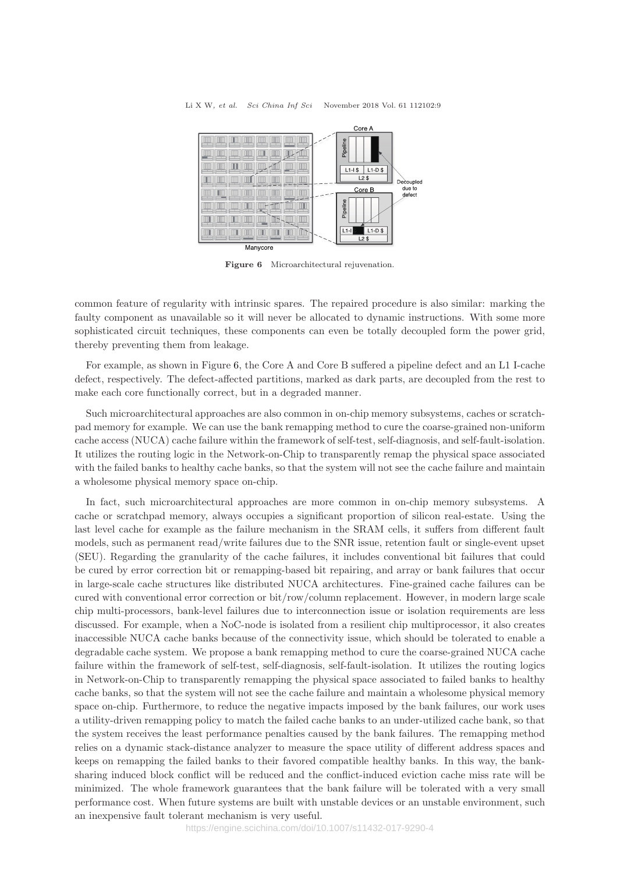#### Li X W, et al. Sci China Inf Sci November 2018 Vol. 61 112102:9



Figure 6 Microarchitectural rejuvenation.

common feature of regularity with intrinsic spares. The repaired procedure is also similar: marking the faulty component as unavailable so it will never be allocated to dynamic instructions. With some more sophisticated circuit techniques, these components can even be totally decoupled form the power grid, thereby preventing them from leakage.

For example, as shown in Figure 6, the Core A and Core B suffered a pipeline defect and an L1 I-cache defect, respectively. The defect-affected partitions, marked as dark parts, are decoupled from the rest to make each core functionally correct, but in a degraded manner.

Such microarchitectural approaches are also common in on-chip memory subsystems, caches or scratchpad memory for example. We can use the bank remapping method to cure the coarse-grained non-uniform cache access (NUCA) cache failure within the framework of self-test, self-diagnosis, and self-fault-isolation. It utilizes the routing logic in the Network-on-Chip to transparently remap the physical space associated with the failed banks to healthy cache banks, so that the system will not see the cache failure and maintain a wholesome physical memory space on-chip.

In fact, such microarchitectural approaches are more common in on-chip memory subsystems. A cache or scratchpad memory, always occupies a significant proportion of silicon real-estate. Using the last level cache for example as the failure mechanism in the SRAM cells, it suffers from different fault models, such as permanent read/write failures due to the SNR issue, retention fault or single-event upset (SEU). Regarding the granularity of the cache failures, it includes conventional bit failures that could be cured by error correction bit or remapping-based bit repairing, and array or bank failures that occur in large-scale cache structures like distributed NUCA architectures. Fine-grained cache failures can be cured with conventional error correction or bit/row/column replacement. However, in modern large scale chip multi-processors, bank-level failures due to interconnection issue or isolation requirements are less discussed. For example, when a NoC-node is isolated from a resilient chip multiprocessor, it also creates inaccessible NUCA cache banks because of the connectivity issue, which should be tolerated to enable a degradable cache system. We propose a bank remapping method to cure the coarse-grained NUCA cache failure within the framework of self-test, self-diagnosis, self-fault-isolation. It utilizes the routing logics in Network-on-Chip to transparently remapping the physical space associated to failed banks to healthy cache banks, so that the system will not see the cache failure and maintain a wholesome physical memory space on-chip. Furthermore, to reduce the negative impacts imposed by the bank failures, our work uses a utility-driven remapping policy to match the failed cache banks to an under-utilized cache bank, so that the system receives the least performance penalties caused by the bank failures. The remapping method relies on a dynamic stack-distance analyzer to measure the space utility of different address spaces and keeps on remapping the failed banks to their favored compatible healthy banks. In this way, the banksharing induced block conflict will be reduced and the conflict-induced eviction cache miss rate will be minimized. The whole framework guarantees that the bank failure will be tolerated with a very small performance cost. When future systems are built with unstable devices or an unstable environment, such an inexpensive fault tolerant mechanism is very useful.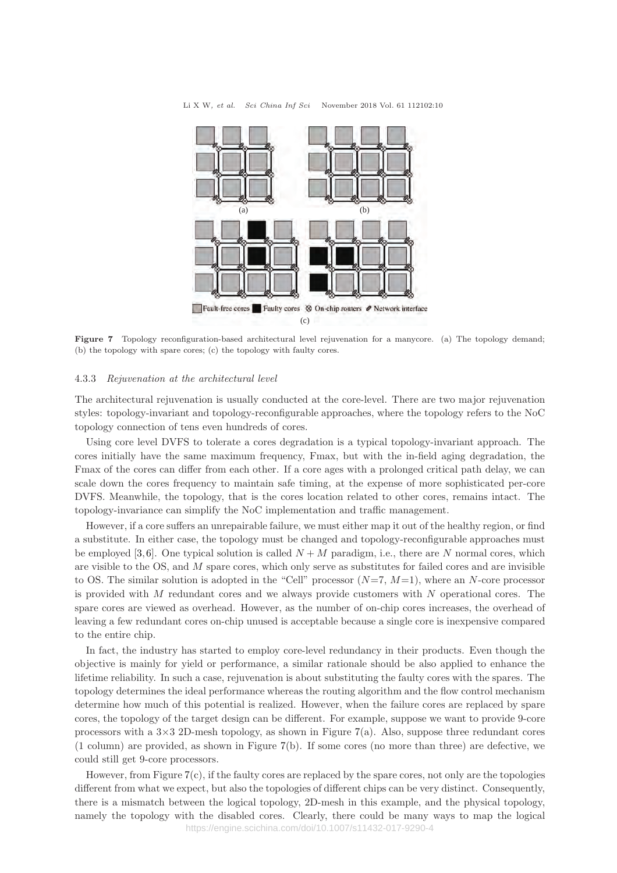

Figure 7 Topology reconfiguration-based architectural level rejuvenation for a manycore. (a) The topology demand; (b) the topology with spare cores; (c) the topology with faulty cores.

#### 4.3.3 Rejuvenation at the architectural level

The architectural rejuvenation is usually conducted at the core-level. There are two major rejuvenation styles: topology-invariant and topology-reconfigurable approaches, where the topology refers to the NoC topology connection of tens even hundreds of cores.

Using core level DVFS to tolerate a cores degradation is a typical topology-invariant approach. The cores initially have the same maximum frequency, Fmax, but with the in-field aging degradation, the Fmax of the cores can differ from each other. If a core ages with a prolonged critical path delay, we can scale down the cores frequency to maintain safe timing, at the expense of more sophisticated per-core DVFS. Meanwhile, the topology, that is the cores location related to other cores, remains intact. The topology-invariance can simplify the NoC implementation and traffic management.

However, if a core suffers an unrepairable failure, we must either map it out of the healthy region, or find a substitute. In either case, the topology must be changed and topology-reconfigurable approaches must be employed [3,6]. One typical solution is called  $N + M$  paradigm, i.e., there are N normal cores, which are visible to the OS, and M spare cores, which only serve as substitutes for failed cores and are invisible to OS. The similar solution is adopted in the "Cell" processor  $(N=7, M=1)$ , where an N-core processor is provided with  $M$  redundant cores and we always provide customers with  $N$  operational cores. The spare cores are viewed as overhead. However, as the number of on-chip cores increases, the overhead of leaving a few redundant cores on-chip unused is acceptable because a single core is inexpensive compared to the entire chip.

In fact, the industry has started to employ core-level redundancy in their products. Even though the objective is mainly for yield or performance, a similar rationale should be also applied to enhance the lifetime reliability. In such a case, rejuvenation is about substituting the faulty cores with the spares. The topology determines the ideal performance whereas the routing algorithm and the flow control mechanism determine how much of this potential is realized. However, when the failure cores are replaced by spare cores, the topology of the target design can be different. For example, suppose we want to provide 9-core processors with a  $3\times3$  2D-mesh topology, as shown in Figure 7(a). Also, suppose three redundant cores (1 column) are provided, as shown in Figure 7(b). If some cores (no more than three) are defective, we could still get 9-core processors.

However, from Figure 7(c), if the faulty cores are replaced by the spare cores, not only are the topologies different from what we expect, but also the topologies of different chips can be very distinct. Consequently, there is a mismatch between the logical topology, 2D-mesh in this example, and the physical topology, namely the topology with the disabled cores. Clearly, there could be many ways to map the logical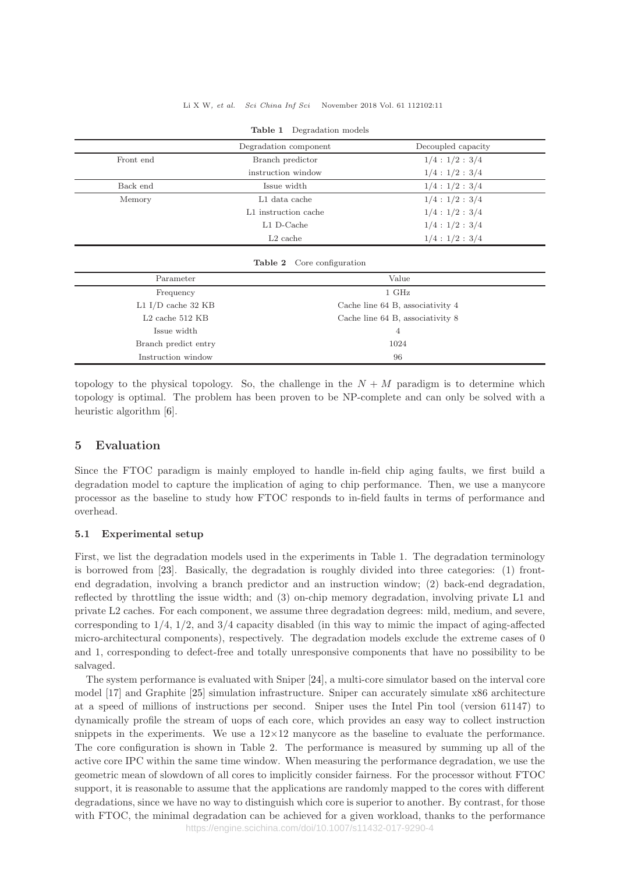|           | Degradation component | Decoupled capacity |
|-----------|-----------------------|--------------------|
| Front end | Branch predictor      | 1/4:1/2:3/4        |
|           | instruction window    | 1/4: 1/2: 3/4      |
| Back end  | Issue width           | 1/4: 1/2: 3/4      |
| Memory    | L1 data cache         | 1/4:1/2:3/4        |
|           | L1 instruction cache  | 1/4:1/2:3/4        |
|           | L1 D-Cache            | 1/4:1/2:3/4        |
|           | $L2$ cache            | 1/4:1/2:3/4        |

| Table 1 |  | Degradation models |  |
|---------|--|--------------------|--|
|---------|--|--------------------|--|

| Table 2 | Core configuration |  |
|---------|--------------------|--|
|---------|--------------------|--|

| Parameter            | Value                            |  |
|----------------------|----------------------------------|--|
| Frequency            | 1 GHz                            |  |
| L1 I/D cache 32 $KB$ | Cache line 64 B, associativity 4 |  |
| $L2$ cache 512 $KB$  | Cache line 64 B, associativity 8 |  |
| Issue width          | $\overline{4}$                   |  |
| Branch predict entry | 1024                             |  |
| Instruction window   | 96                               |  |

topology to the physical topology. So, the challenge in the  $N + M$  paradigm is to determine which topology is optimal. The problem has been proven to be NP-complete and can only be solved with a heuristic algorithm [6].

#### 5 Evaluation

Since the FTOC paradigm is mainly employed to handle in-field chip aging faults, we first build a degradation model to capture the implication of aging to chip performance. Then, we use a manycore processor as the baseline to study how FTOC responds to in-field faults in terms of performance and overhead.

#### 5.1 Experimental setup

First, we list the degradation models used in the experiments in Table 1. The degradation terminology is borrowed from [23]. Basically, the degradation is roughly divided into three categories: (1) frontend degradation, involving a branch predictor and an instruction window; (2) back-end degradation, reflected by throttling the issue width; and (3) on-chip memory degradation, involving private L1 and private L2 caches. For each component, we assume three degradation degrees: mild, medium, and severe, corresponding to  $1/4$ ,  $1/2$ , and  $3/4$  capacity disabled (in this way to mimic the impact of aging-affected micro-architectural components), respectively. The degradation models exclude the extreme cases of 0 and 1, corresponding to defect-free and totally unresponsive components that have no possibility to be salvaged.

The system performance is evaluated with Sniper [24], a multi-core simulator based on the interval core model [17] and Graphite [25] simulation infrastructure. Sniper can accurately simulate x86 architecture at a speed of millions of instructions per second. Sniper uses the Intel Pin tool (version 61147) to dynamically profile the stream of uops of each core, which provides an easy way to collect instruction snippets in the experiments. We use a  $12\times12$  manycore as the baseline to evaluate the performance. The core configuration is shown in Table 2. The performance is measured by summing up all of the active core IPC within the same time window. When measuring the performance degradation, we use the geometric mean of slowdown of all cores to implicitly consider fairness. For the processor without FTOC support, it is reasonable to assume that the applications are randomly mapped to the cores with different degradations, since we have no way to distinguish which core is superior to another. By contrast, for those with FTOC, the minimal degradation can be achieved for a given workload, thanks to the performance https://engine.scichina.com/doi/10.1007/s11432-017-9290-4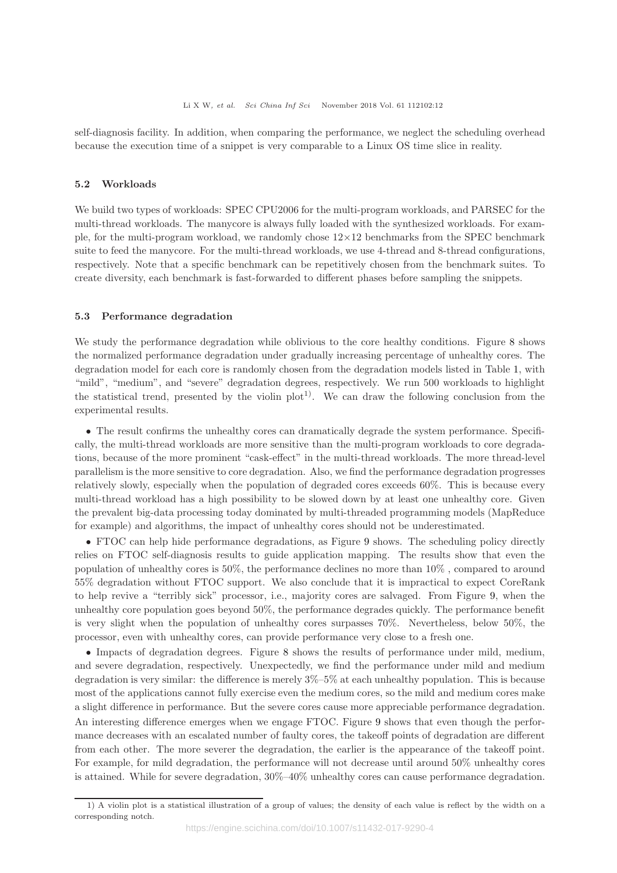self-diagnosis facility. In addition, when comparing the performance, we neglect the scheduling overhead because the execution time of a snippet is very comparable to a Linux OS time slice in reality.

#### 5.2 Workloads

We build two types of workloads: SPEC CPU2006 for the multi-program workloads, and PARSEC for the multi-thread workloads. The manycore is always fully loaded with the synthesized workloads. For example, for the multi-program workload, we randomly chose  $12\times12$  benchmarks from the SPEC benchmark suite to feed the manycore. For the multi-thread workloads, we use 4-thread and 8-thread configurations, respectively. Note that a specific benchmark can be repetitively chosen from the benchmark suites. To create diversity, each benchmark is fast-forwarded to different phases before sampling the snippets.

#### 5.3 Performance degradation

We study the performance degradation while oblivious to the core healthy conditions. Figure 8 shows the normalized performance degradation under gradually increasing percentage of unhealthy cores. The degradation model for each core is randomly chosen from the degradation models listed in Table 1, with "mild", "medium", and "severe" degradation degrees, respectively. We run 500 workloads to highlight the statistical trend, presented by the violin  $plot<sup>1</sup>$ . We can draw the following conclusion from the experimental results.

• The result confirms the unhealthy cores can dramatically degrade the system performance. Specifically, the multi-thread workloads are more sensitive than the multi-program workloads to core degradations, because of the more prominent "cask-effect" in the multi-thread workloads. The more thread-level parallelism is the more sensitive to core degradation. Also, we find the performance degradation progresses relatively slowly, especially when the population of degraded cores exceeds 60%. This is because every multi-thread workload has a high possibility to be slowed down by at least one unhealthy core. Given the prevalent big-data processing today dominated by multi-threaded programming models (MapReduce for example) and algorithms, the impact of unhealthy cores should not be underestimated.

• FTOC can help hide performance degradations, as Figure 9 shows. The scheduling policy directly relies on FTOC self-diagnosis results to guide application mapping. The results show that even the population of unhealthy cores is 50%, the performance declines no more than 10% , compared to around 55% degradation without FTOC support. We also conclude that it is impractical to expect CoreRank to help revive a "terribly sick" processor, i.e., majority cores are salvaged. From Figure 9, when the unhealthy core population goes beyond 50%, the performance degrades quickly. The performance benefit is very slight when the population of unhealthy cores surpasses 70%. Nevertheless, below 50%, the processor, even with unhealthy cores, can provide performance very close to a fresh one.

• Impacts of degradation degrees. Figure 8 shows the results of performance under mild, medium, and severe degradation, respectively. Unexpectedly, we find the performance under mild and medium degradation is very similar: the difference is merely 3%–5% at each unhealthy population. This is because most of the applications cannot fully exercise even the medium cores, so the mild and medium cores make a slight difference in performance. But the severe cores cause more appreciable performance degradation. An interesting difference emerges when we engage FTOC. Figure 9 shows that even though the performance decreases with an escalated number of faulty cores, the takeoff points of degradation are different from each other. The more severer the degradation, the earlier is the appearance of the takeoff point. For example, for mild degradation, the performance will not decrease until around 50% unhealthy cores is attained. While for severe degradation, 30%–40% unhealthy cores can cause performance degradation.

<sup>1)</sup> A violin plot is a statistical illustration of a group of values; the density of each value is reflect by the width on a corresponding notch.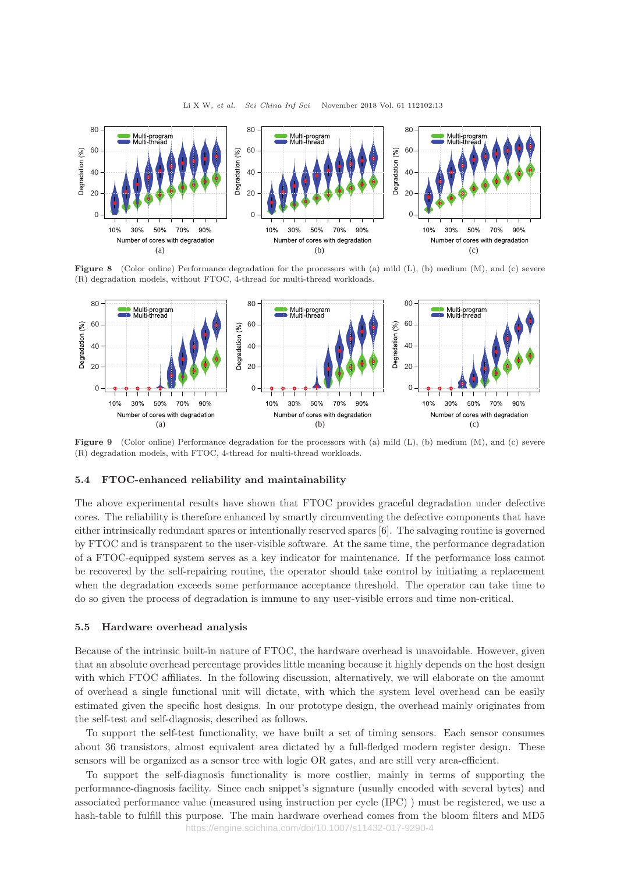

**Figure 8** (Color online) Performance degradation for the processors with (a) mild (L), (b) medium (M), and (c) severe (R) degradation models, without FTOC, 4-thread for multi-thread workloads.



Figure 9 (Color online) Performance degradation for the processors with (a) mild (L), (b) medium (M), and (c) severe (R) degradation models, with FTOC, 4-thread for multi-thread workloads.

#### 5.4 FTOC-enhanced reliability and maintainability

The above experimental results have shown that FTOC provides graceful degradation under defective cores. The reliability is therefore enhanced by smartly circumventing the defective components that have either intrinsically redundant spares or intentionally reserved spares [6]. The salvaging routine is governed by FTOC and is transparent to the user-visible software. At the same time, the performance degradation of a FTOC-equipped system serves as a key indicator for maintenance. If the performance loss cannot be recovered by the self-repairing routine, the operator should take control by initiating a replacement when the degradation exceeds some performance acceptance threshold. The operator can take time to do so given the process of degradation is immune to any user-visible errors and time non-critical.

#### 5.5 Hardware overhead analysis

Because of the intrinsic built-in nature of FTOC, the hardware overhead is unavoidable. However, given that an absolute overhead percentage provides little meaning because it highly depends on the host design with which FTOC affiliates. In the following discussion, alternatively, we will elaborate on the amount of overhead a single functional unit will dictate, with which the system level overhead can be easily estimated given the specific host designs. In our prototype design, the overhead mainly originates from the self-test and self-diagnosis, described as follows.

To support the self-test functionality, we have built a set of timing sensors. Each sensor consumes about 36 transistors, almost equivalent area dictated by a full-fledged modern register design. These sensors will be organized as a sensor tree with logic OR gates, and are still very area-efficient.

To support the self-diagnosis functionality is more costlier, mainly in terms of supporting the performance-diagnosis facility. Since each snippet's signature (usually encoded with several bytes) and associated performance value (measured using instruction per cycle (IPC) ) must be registered, we use a hash-table to fulfill this purpose. The main hardware overhead comes from the bloom filters and MD5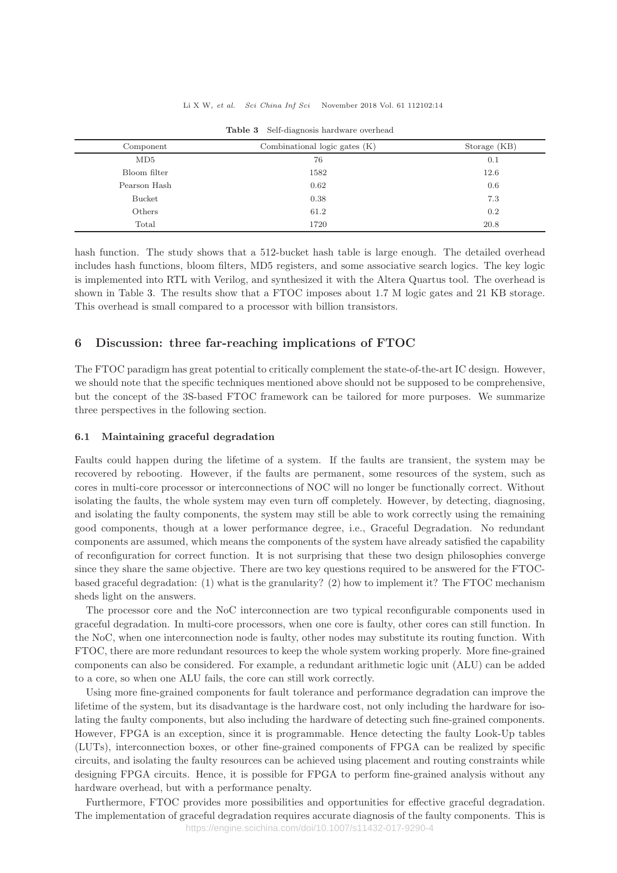| Component     | Combinational logic gates (K) | Storage (KB) |
|---------------|-------------------------------|--------------|
| MD5           | 76                            | 0.1          |
| Bloom filter  | 1582                          | 12.6         |
| Pearson Hash  | 0.62                          | 0.6          |
| <b>Bucket</b> | 0.38                          | 7.3          |
| Others        | 61.2                          | 0.2          |
| Total         | 1720                          | 20.8         |

Table 3 Self-diagnosis hardware overhead

hash function. The study shows that a 512-bucket hash table is large enough. The detailed overhead includes hash functions, bloom filters, MD5 registers, and some associative search logics. The key logic is implemented into RTL with Verilog, and synthesized it with the Altera Quartus tool. The overhead is shown in Table 3. The results show that a FTOC imposes about 1.7 M logic gates and 21 KB storage. This overhead is small compared to a processor with billion transistors.

# 6 Discussion: three far-reaching implications of FTOC

The FTOC paradigm has great potential to critically complement the state-of-the-art IC design. However, we should note that the specific techniques mentioned above should not be supposed to be comprehensive, but the concept of the 3S-based FTOC framework can be tailored for more purposes. We summarize three perspectives in the following section.

#### 6.1 Maintaining graceful degradation

Faults could happen during the lifetime of a system. If the faults are transient, the system may be recovered by rebooting. However, if the faults are permanent, some resources of the system, such as cores in multi-core processor or interconnections of NOC will no longer be functionally correct. Without isolating the faults, the whole system may even turn off completely. However, by detecting, diagnosing, and isolating the faulty components, the system may still be able to work correctly using the remaining good components, though at a lower performance degree, i.e., Graceful Degradation. No redundant components are assumed, which means the components of the system have already satisfied the capability of reconfiguration for correct function. It is not surprising that these two design philosophies converge since they share the same objective. There are two key questions required to be answered for the FTOCbased graceful degradation: (1) what is the granularity? (2) how to implement it? The FTOC mechanism sheds light on the answers.

The processor core and the NoC interconnection are two typical reconfigurable components used in graceful degradation. In multi-core processors, when one core is faulty, other cores can still function. In the NoC, when one interconnection node is faulty, other nodes may substitute its routing function. With FTOC, there are more redundant resources to keep the whole system working properly. More fine-grained components can also be considered. For example, a redundant arithmetic logic unit (ALU) can be added to a core, so when one ALU fails, the core can still work correctly.

Using more fine-grained components for fault tolerance and performance degradation can improve the lifetime of the system, but its disadvantage is the hardware cost, not only including the hardware for isolating the faulty components, but also including the hardware of detecting such fine-grained components. However, FPGA is an exception, since it is programmable. Hence detecting the faulty Look-Up tables (LUTs), interconnection boxes, or other fine-grained components of FPGA can be realized by specific circuits, and isolating the faulty resources can be achieved using placement and routing constraints while designing FPGA circuits. Hence, it is possible for FPGA to perform fine-grained analysis without any hardware overhead, but with a performance penalty.

Furthermore, FTOC provides more possibilities and opportunities for effective graceful degradation. The implementation of graceful degradation requires accurate diagnosis of the faulty components. This is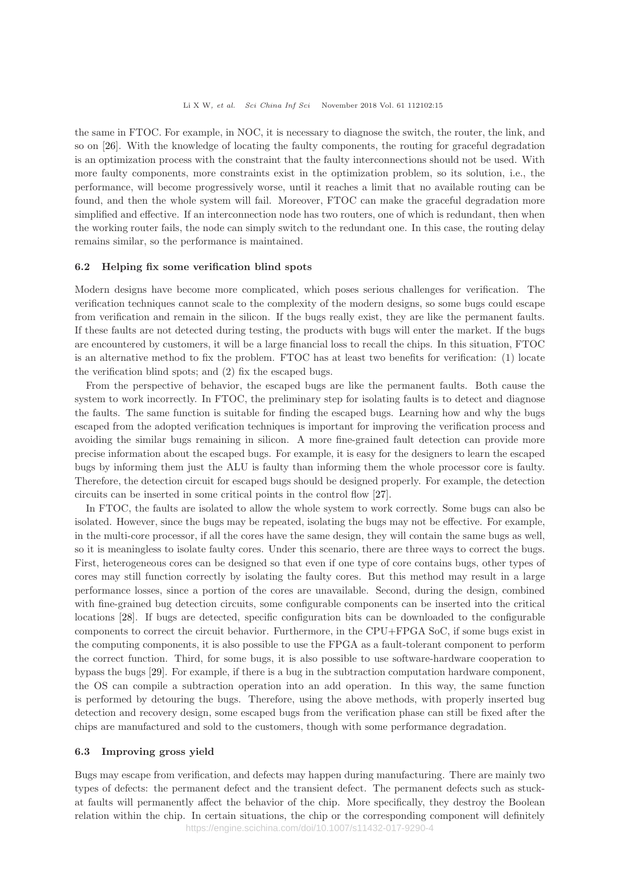the same in FTOC. For example, in NOC, it is necessary to diagnose the switch, the router, the link, and so on [26]. With the knowledge of locating the faulty components, the routing for graceful degradation is an optimization process with the constraint that the faulty interconnections should not be used. With more faulty components, more constraints exist in the optimization problem, so its solution, i.e., the performance, will become progressively worse, until it reaches a limit that no available routing can be found, and then the whole system will fail. Moreover, FTOC can make the graceful degradation more simplified and effective. If an interconnection node has two routers, one of which is redundant, then when the working router fails, the node can simply switch to the redundant one. In this case, the routing delay remains similar, so the performance is maintained.

#### 6.2 Helping fix some verification blind spots

Modern designs have become more complicated, which poses serious challenges for verification. The verification techniques cannot scale to the complexity of the modern designs, so some bugs could escape from verification and remain in the silicon. If the bugs really exist, they are like the permanent faults. If these faults are not detected during testing, the products with bugs will enter the market. If the bugs are encountered by customers, it will be a large financial loss to recall the chips. In this situation, FTOC is an alternative method to fix the problem. FTOC has at least two benefits for verification: (1) locate the verification blind spots; and (2) fix the escaped bugs.

From the perspective of behavior, the escaped bugs are like the permanent faults. Both cause the system to work incorrectly. In FTOC, the preliminary step for isolating faults is to detect and diagnose the faults. The same function is suitable for finding the escaped bugs. Learning how and why the bugs escaped from the adopted verification techniques is important for improving the verification process and avoiding the similar bugs remaining in silicon. A more fine-grained fault detection can provide more precise information about the escaped bugs. For example, it is easy for the designers to learn the escaped bugs by informing them just the ALU is faulty than informing them the whole processor core is faulty. Therefore, the detection circuit for escaped bugs should be designed properly. For example, the detection circuits can be inserted in some critical points in the control flow [27].

In FTOC, the faults are isolated to allow the whole system to work correctly. Some bugs can also be isolated. However, since the bugs may be repeated, isolating the bugs may not be effective. For example, in the multi-core processor, if all the cores have the same design, they will contain the same bugs as well, so it is meaningless to isolate faulty cores. Under this scenario, there are three ways to correct the bugs. First, heterogeneous cores can be designed so that even if one type of core contains bugs, other types of cores may still function correctly by isolating the faulty cores. But this method may result in a large performance losses, since a portion of the cores are unavailable. Second, during the design, combined with fine-grained bug detection circuits, some configurable components can be inserted into the critical locations [28]. If bugs are detected, specific configuration bits can be downloaded to the configurable components to correct the circuit behavior. Furthermore, in the CPU+FPGA SoC, if some bugs exist in the computing components, it is also possible to use the FPGA as a fault-tolerant component to perform the correct function. Third, for some bugs, it is also possible to use software-hardware cooperation to bypass the bugs [29]. For example, if there is a bug in the subtraction computation hardware component, the OS can compile a subtraction operation into an add operation. In this way, the same function is performed by detouring the bugs. Therefore, using the above methods, with properly inserted bug detection and recovery design, some escaped bugs from the verification phase can still be fixed after the chips are manufactured and sold to the customers, though with some performance degradation.

#### 6.3 Improving gross yield

Bugs may escape from verification, and defects may happen during manufacturing. There are mainly two types of defects: the permanent defect and the transient defect. The permanent defects such as stuckat faults will permanently affect the behavior of the chip. More specifically, they destroy the Boolean relation within the chip. In certain situations, the chip or the corresponding component will definitely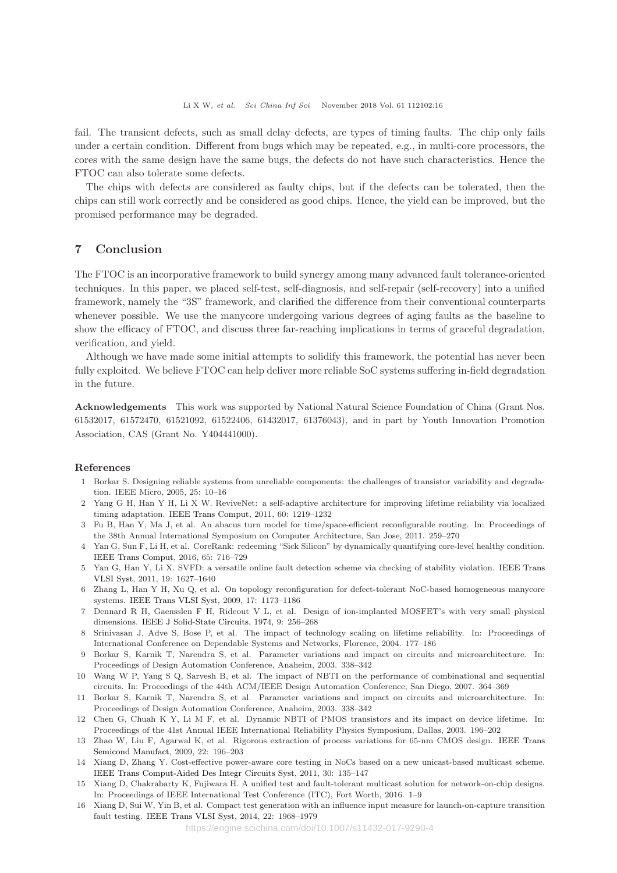fail. The transient defects, such as small delay defects, are types of timing faults. The chip only fails under a certain condition. Different from bugs which may be repeated, e.g., in multi-core processors, the cores with the same design have the same bugs, the defects do not have such characteristics. Hence the FTOC can also tolerate some defects.

The chips with defects are considered as faulty chips, but if the defects can be tolerated, then the chips can still work correctly and be considered as good chips. Hence, the yield can be improved, but the promised performance may be degraded.

## 7 Conclusion

The FTOC is an incorporative framework to build synergy among many advanced fault tolerance-oriented techniques. In this paper, we placed self-test, self-diagnosis, and self-repair (self-recovery) into a unified framework, namely the "3S" framework, and clarified the difference from their conventional counterparts whenever possible. We use the manycore undergoing various degrees of aging faults as the baseline to show the efficacy of FTOC, and discuss three far-reaching implications in terms of graceful degradation, verification, and yield.

Although we have made some initial attempts to solidify this framework, the potential has never been fully exploited. We believe FTOC can help deliver more reliable SoC systems suffering in-field degradation in the future.

Acknowledgements This work was supported by National Natural Science Foundation of China (Grant Nos. 61532017, 61572470, 61521092, 61522406, 61432017, 61376043), and in part by Youth Innovation Promotion Association, CAS (Grant No. Y404441000).

#### References

- 1 Borkar S. Designing reliable systems from unreliable components: the challenges of transistor variability and degradation. IEEE Micro, 2005, 25: 10–16
- 2 Yang G H, Han Y H, Li X W. ReviveNet: a self-adaptive architecture for improving lifetime reliability via localized timing adaptation. [IEEE Trans Comput,](https://doi.org/10.1109/TC.2011.33) 2011, 60: 1219–1232
- 3 Fu B, Han Y, Ma J, et al. An abacus turn model for time/space-efficient reconfigurable routing. In: Proceedings of the 38th Annual International Symposium on Computer Architecture, San Jose, 2011. 259–270
- 4 Yan G, Sun F, Li H, et al. CoreRank: redeeming "Sick Silicon" by dynamically quantifying core-level healthy condition. [IEEE Trans Comput,](https://doi.org/10.1109/TC.2015.2479619) 2016, 65: 716–729
- 5 Yan G, Han Y, Li X. SVFD: a versatile online fault detection scheme via checking of stability violation. IEEE Trans VLSI Syst[, 2011, 19: 1627–1640](https://doi.org/10.1109/TVLSI.2010.2052839)
- 6 Zhang L, Han Y H, Xu Q, et al. On topology reconfiguration for defect-tolerant NoC-based homogeneous manycore systems. [IEEE Trans VLSI Syst,](https://doi.org/10.1109/TVLSI.2008.2002108) 2009, 17: 1173–1186
- 7 Dennard R H, Gaensslen F H, Rideout V L, et al. Design of ion-implanted MOSFET's with very small physical dimensions. [IEEE J Solid-State Circuits,](https://doi.org/10.1109/JSSC.1974.1050511) 1974, 9: 256–268
- 8 Srinivasan J, Adve S, Bose P, et al. The impact of technology scaling on lifetime reliability. In: Proceedings of International Conference on Dependable Systems and Networks, Florence, 2004. 177–186
- 9 Borkar S, Karnik T, Narendra S, et al. Parameter variations and impact on circuits and microarchitecture. In: Proceedings of Design Automation Conference, Anaheim, 2003. 338–342
- 10 Wang W P, Yang S Q, Sarvesh B, et al. The impact of NBTI on the performance of combinational and sequential circuits. In: Proceedings of the 44th ACM/IEEE Design Automation Conference, San Diego, 2007. 364–369
- 11 Borkar S, Karnik T, Narendra S, et al. Parameter variations and impact on circuits and microarchitecture. In: Proceedings of Design Automation Conference, Anaheim, 2003. 338–342
- 12 Chen G, Chuah K Y, Li M F, et al. Dynamic NBTI of PMOS transistors and its impact on device lifetime. In: Proceedings of the 41st Annual IEEE International Reliability Physics Symposium, Dallas, 2003. 196–202
- 13 Zhao W, Liu F, A[garwal K, et al. Rigorous extraction of process variations for 65-nm CMOS design.](https://doi.org/10.1109/TSM.2008.2011182) IEEE Trans Semicond Manufact, 2009, 22: 196–203
- 14 Xiang D, Zhang Y. Cost-effective power-aware core testing in NoCs based on a new unicast-based multicast scheme. [IEEE Trans Comput-Aided Des Integr Circuits Syst,](https://doi.org/10.1109/TCAD.2010.2066070) 2011, 30: 135–147
- 15 Xiang D, Chakrabarty K, Fujiwara H. A unified test and fault-tolerant multicast solution for network-on-chip designs. In: Proceedings of IEEE International Test Conference (ITC), Fort Worth, 2016. 1–9
- 16 Xiang D, Sui W, Yin B, et al. Compact test generation with an influence input measure for launch-on-capture transition fault testing. [IEEE Trans VLSI Syst,](https://doi.org/10.1109/TVLSI.2013.2280170) 2014, 22: 1968–1979